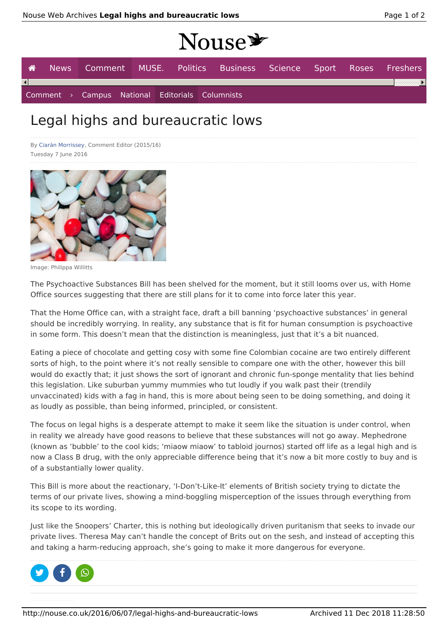# $N_{O1100}$

| $11000 -$              |  |  |  |  |                                                                   |  |  |  |    |  |  |
|------------------------|--|--|--|--|-------------------------------------------------------------------|--|--|--|----|--|--|
| <b>A</b>               |  |  |  |  | News Comment MUSE. Politics Business Science Sport Roses Freshers |  |  |  |    |  |  |
| $\left  \cdot \right $ |  |  |  |  |                                                                   |  |  |  | ×. |  |  |
|                        |  |  |  |  | Comment > Campus National Editorials Columnists                   |  |  |  |    |  |  |

## Legal highs and bureaucratic lows

By Ciarán Morrissey, Comment Editor (2015/16) Tuesday 7 June 2016



Image: Philippa Willitts

The Psychoactive Substances Bill has been shelved for the moment, but it still looms over us, with Home Office sources suggesting that there are still plans for it to come into force later this year.

That the Home Office can, with a straight face, draft a bill banning 'psychoactive substances' in general should be incredibly worrying. In reality, any substance that is fit for human consumption is psychoactive in some form. This doesn't mean that the distinction is meaningless, just that it's a bit nuanced.

Eating a piece of chocolate and getting cosy with some fine Colombian cocaine are two entirely different sorts of high, to the point where it's not really sensible to compare one with the other, however this bill would do exactly that; it just shows the sort of ignorant and chronic fun-sponge mentality that lies behind this legislation. Like suburban yummy mummies who tut loudly if you walk past their (trendily unvaccinated) kids with a fag in hand, this is more about being seen to be doing something, and doing it as loudly as possible, than being informed, principled, or consistent.

The focus on legal highs is a desperate attempt to make it seem like the situation is under control, when in reality we already have good reasons to believe that these substances will not go away. Mephedrone (known as 'bubble' to the cool kids; 'miaow miaow' to tabloid journos) started off life as a legal high and is now a Class B drug, with the only appreciable difference being that it's now a bit more costly to buy and is of a substantially lower quality.

This Bill is more about the reactionary, 'I-Don't-Like-It' elements of British society trying to dictate the terms of our private lives, showing a mind-boggling misperception of the issues through everything from its scope to its wording.

Just like the Snoopers' Charter, this is nothing but ideologically driven puritanism that seeks to invade our private lives. Theresa May can't handle the concept of Brits out on the sesh, and instead of accepting this and taking a harm-reducing approach, she's going to make it more dangerous for everyone.